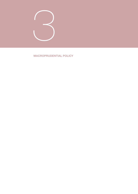

## MACROPRUDENTIAL POLICY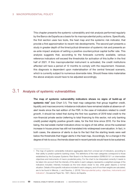This chapter presents the systemic vulnerability and risk analysis performed regularly by the Banco de España as a basis for its macroprudential policy actions. Specifically, the first section uses two tools, the heat map and the systemic risk indicator, that provide a first approximation to recent risk developments. The second part presents a study in greater depth of the time/cyclical dimension of systemic risk and presents an ex-ante impact analysis of setting a positive countercyclical capital buffer rate. This analysis suggests that, according to the forecasts currently available, various reference indicators will exceed the thresholds for activation of this buffer in the first half of 2021. If this macroprudential instrument is activated, the credit institutions affected will have a period of 12 months to comply with the requirement. However, this diagnosis is dependent upon materialisation of the central forecast scenario, which is currently subject to numerous downside risks. Should these risks materialise the above analysis would have to be adjusted accordingly.

# 3.1 Analysis of systemic vulnerabilities

The map of systemic vulnerability indicators shows no signs of build-up of systemic risk<sup>1</sup> (see Chart 3.1). The heat map categories that group together credit, liquidity and macroeconomic imbalance indicators have remained stable at absence-ofalert levels since the last edition of the FSR. In the case of indicators related to *credit growth,* it should be noted that during the first two quarters of 2019 total credit to the non-financial private sector (referring to total financing to this sector, not only banking credit) posted slightly positive growth rates, for the first time since 2010. For the time being, the *real estate market* indicators show no signs of risk either, since the sustained increase in house prices has still not translated into widespread overvaluation. In fact, in both cases, the absence of alerts is due to the fact that the starting levels were well below the thresholds that trigger alerts in the heat map. Accordingly, for a change in the degree of risk to occur, the trends observed in recent periods would have to be sustained.

<sup>1</sup> The map of systemic vulnerability indicators aggregates data from a broad set of indicators, according to their ability to predict systemic banking crises. The definitions of the main categories correspond to those established by the European Systemic Risk Board in its Recommendation ESRB/2013/1 on intermediate objectives and instruments of macro prudential policy. For the chart to be interpreted correctly it needs to be taken into account that the intensity of the alerts in each category represents a weighted average of the indicators included. Intensity increases as the tone draws closer to red, while green depicts a normal situation. Details of the specific indicators included in each category, and of how their weights are calculated, are to be found in Mencía, J. and Saurina, J. (2016) ["Macroprudential policy: objectives, instruments and](https://www.bde.es/f/webbde/SES/Secciones/Publicaciones/PublicacionesSeriadas/DocumentosOcasionales/16/Fich/do1601e.pdf) [indicators"](https://www.bde.es/f/webbde/SES/Secciones/Publicaciones/PublicacionesSeriadas/DocumentosOcasionales/16/Fich/do1601e.pdf), Occasional Paper No. 1601, Banco de España.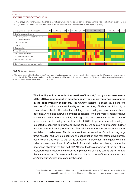#### HEAT MAP BY SUB-CATEGORY (a) (b) Chart 3.1

The map of systemic vulnerabilities, designed to provide early warning of systemic banking crises, remains stable without any risk or low-risk warnings, while the imbalances and the economic and financial situation have not seen any changes in grading.



#### SOURCE: Banco de España.

a The colour scheme identifies four levels of risk: i) green denotes a normal, risk-free situation, ii) yellow indicates low risk, iii) orange is medium risk and, iv) red is high risk. The shaded band denotes the last systemic crisis. Some indicators as at December 2018 are based on provisional information.

The liquidity indicators reflect a situation of low risk, $<sup>2</sup>$  partly as a consequence</sup> of the ECB's accommodative monetary policy, and improvements are observed in the concentration indicators. The *liquidity* indicator is made up, on the one hand, of information on market liquidity and, on the other, of indicators of liquidity on bank balance sheets. The indicators relating to the liquidity on bank balance sheets have shown no signs that would give rise to concern, while the market indicators have shown somewhat more volatility, although also improvements in the case of government debt liquidity in the first half of 2019. In general, market liquidity is expected to continue to improve following the ECB's decision to implement further medium-term refinancing operations. The risk level of the *concentration* indicators has fallen to medium-low. This is because the concentration of credit among large firms has declined, while exposure to the construction and real estate development sectors continues to fall, as part of the process of improvement in the quality of bank balance sheets mentioned in Chapter 2. Financial market turbulence, meanwhile, decreased slightly in the first half of 2019 from the levels recorded at the end of last year, partly as a result of the measures implemented by many central banks. Finally, the *macroeconomic imbalance* indicators and the indicators of the *current economic and financial situation* remained unchanged.

b The 2019 indicators are available up to June 2019.

<sup>2</sup> One of the indicators that made up this subgroup in previous editions of the FSR has had to be replaced by another as it has ceased to be available. It is for this reason that its level has been revised retrospectively.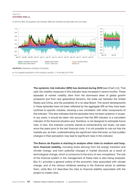### SYSTEMIC RISK (a) Chart 3.2

In 2019 to date, the systemic risk indicator (SRI) has remained at historically very low levels.



SOURCES: Datastream and Banco de España.

a For a detailed explanation of this indicator, see Box 1.1 in the May 2013 FSR.

The systemic risk indicator (SRI) has declined during 2019 (see Chart 3.2). That said, the volatility measures in this indicator have increased in recent months. These episodes of market volatility stem from the downward skew of global growth prospects and from new geopolitical tensions, the trade war between the United States and China, and the possibility of a no-deal Brexit. The recent developments in these episodes have not been reflected by the aggregate SRI as they have been confined to specific markets, showing a low correlation with other components of the indicator. This also indicates that the episodes have not been systemic in scope. In any event, it should be taken into account that the SRI indicator is a coincident indicator of the financial situation and, therefore, is not designed to anticipate future risks. In fact, this indicator currently stands at extraordinarily low levels, not seen since the years prior to the last financial crisis. It is not possible to rule out that the markets are, as then, underestimating the significant risks that exist, so that sudden changes in their perception may lead to significant rises in this indicator.

The Banco de España is starting to analyse other risks to medium and longterm financial stability, including those deriving from the energy transition and climate change, and from potential changes in market structure as a result of technological change, which is conducive to the entry of new competitors. The role of the financial system in the management of these risks is also being analysed. Box 3.1 provides a general outline of the economic risks associated with climate change, and of the various initiatives existing in the financial sector to address them, while Box 3.2 describes the risks to financial stability associated with the project to create Libra.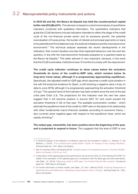# 3.2 Macroprudential policy instruments and actions

In 2019 Q3 and Q4, the Banco de España has held the countercyclical capital buffer rate (CCyB) at 0%. This decision is based on a technical analysis of quantitative indicators combined with qualitative information. The quantitative indicators that guide the CCyB decisions include indicators intended to reflect the stage of the credit cycle of the non-financial private sector and its excessive growth, the potential overvaluation of house prices, the burden of interest and principal payments on loans to households and firms (debt service), the external imbalance and the macroeconomic environment.<sup>3</sup> The technical analysis assesses the recent developments in the indicators, their current situation and also their expected behaviour over the next few quarters, in line with the macroeconomic forecasts prepared on a quarterly basis by the Banco de España.<sup>4</sup> This latter element is very important, because, in the event that the CCyB is activated, institutions have 12 months to comply with the requirement.

The credit cycle indicator continues to show values below the activation thresholds (in terms of the credit-to-GDP ratio, which remains below its long-term trend value), although it is progressively approaching equilibrium. Specifically, the adjusted credit-to-GDP gap which assumes a credit cycle duration in line with the empirical evidence for Spain, is still showing a negative value (–8 pp on data to June 2019), although it is progressively approaching the activation threshold of 2 pp.<sup>5</sup> The upward trend of this indicator has been evident since the end of the last crisis (see Chart 3.3). The projections for this indicator over the next few years suggest that it will become positive in around 2021 Q1 and could exceed the activation threshold in Q2 of that year. The available econometric models – which estimate the equilibrium level of the credit-to-GDP ratio on the basis of its relationship with other fundamental macro-financial variables according to economic theory – also currently show negative gaps with respect to this equilibrium level, which are rapidly shrinking.<sup>6</sup>

The output gap, meanwhile, has been positive since the beginning of the year, and is projected to expand in future. This suggests that the level of GDP is now

<sup>3</sup> A technical analysis of the selection of indicators used can be consulted in Castro, C., Estrada, A. and Martínez, J. (2016), ["The Countercyclical Capital Buffer in Spain: An Analysis of Key Guiding Indicators"](https://www.bde.es/f/webbde/SES/Secciones/Publicaciones/PublicacionesSeriadas/DocumentosTrabajo/16/Fich/dt1601e.pdf), Working Paper No. 1601, Banco de España.

<sup>4</sup> See, for example, Banco de España (2019): ["Quarterly report on the Spanish economy", Economic Bulletin,](https://www.bde.es/f/webbde/SES/Secciones/Publicaciones/InformesBoletinesRevistas/BoletinEconomico/19/T3/descargar/Files/be1903e.pdf) [Banco de España, 3/2019, pp. 5-67](https://www.bde.es/f/webbde/SES/Secciones/Publicaciones/InformesBoletinesRevistas/BoletinEconomico/19/T3/descargar/Files/be1903e.pdf).

<sup>5</sup> A description of the adjusted gap and its performance can be found in Box 3.2 of the Spring 2019 FSR. For details of the calculation of the adjusted gap and a comparison with the Basel gap and other alternatives, see Galán, J.E. (2019), "Measuring credit-to-GDP gaps. The [Hodrick-Prescott](https://www.bde.es/f/webbde/SES/Secciones/Publicaciones/PublicacionesSeriadas/DocumentosOcasionales/19/Files/do1906e.pdf) filter revisited", Occasional paper No. 1906, Banco de España.

<sup>6</sup> For further information on these models, see Galán, J.E. and J. Mencía (2018), ["Empirical Assessment of](https://www.bde.es/f/webbde/SES/Secciones/Publicaciones/PublicacionesSeriadas/DocumentosTrabajo/18/Files/dt1825e.pdf) [Alternative Structural Methods for Identifying Cyclical Systemic Risk in Europe",](https://www.bde.es/f/webbde/SES/Secciones/Publicaciones/PublicacionesSeriadas/DocumentosTrabajo/18/Files/dt1825e.pdf) Working Paper No. 1825, Banco de España.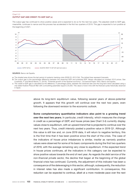### OUTPUT GAP AND CREDIT-TO-GDP GAP (a) Chart 3.3

The output gap has continued to show positive values and is expected to do so for the next two years. The adjusted credit-to-GDP gap, meanwhile, continues to narrow and this process has accelerated in the first two quarters of 2019. This gap is expected to turn positive at the beginning of 2021.



#### SOURCE: Banco de España.

- a The shaded area shows the last period of systemic banking crisis (2009 Q1-2013 Q4). The dotted lines represent forecasts.
- b The output gap is the percentage difference between the observed GDP and potential GDP. Values calculated at constant 2010 prices. See Cuadrado, P. and Moral-Benito, E. (2016), "Potential growth of the Spanish economy", Occasional Paper 1603, Banco de España.
- c The credit-to-GDP gap is calculated as the difference, in percentage points, between the observed ratio and the long-term trend calculated using a one-sided Hodrick-Prescott filter with a smoothing parameter equal to 25,000. This value is more in line with the financial cycles historically observed in Spain.

above its long-term equilibrium value, following several years of above-potential growth. It appears that this growth will continue over the next two years, even following the downward revision to the economic outlook.

Some complementary quantitative indicators also point to a growing trend over the next two years. In particular, *credit intensity,* which measures the change in credit as a percentage of GDP, and house prices (see Chart 3.4) currently display values close to equilibrium, with an upward trend that is projected to continue over the next two years. Thus, *credit intensity* posted a positive value in 2019 Q1. Although this value is still low and, on June 2019 data, it will return to negative territory, this is the first time that it has been positive since the start of the crisis. The case of the indicators of house price imbalances is similar, insofar as narrowly positive values were observed for some of its basic components during the first two quarters of 2019, with the average remaining very close to equilibrium. If the expected trend in house prices continues, all the indicators in this category can be expected to show positive values towards the end of next year. As regards the *debt service of the non-financial private sector,* the decline that began at the beginning of the global financial crisis has continued. Currently, the adjustment of this indicator has been a consequence of the deleveraging in this sector, although, subsequently, the reduction in interest rates has also made a significant contribution. In consequence, this reduction can be expected to continue, albeit at a more moderate pace over the next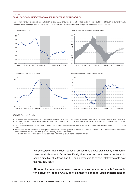#### COMPLEMENTARY INDICATORS TO GUIDE THE SETTING OF THE CCyB (a) Chart 3.4

The complementary indicators for calibration of the CCyB show no signs of cyclical systemic risk build-up, although, if current trends continue, those relating to credit and prices in the real-estate sector will show some signs of alert over the next two years.



SOURCE: Banco de España.

- a The shaded area shows the last period of systemic banking crisis (2009 Q1-2013 Q4). The dotted lines and lightly shaded area represent forecasts.
- b The credit intensity indicator is calculated as the annual change in credit to the non-financial private sector divided by cumulative GDP of the last four quarters.
- c The shaded area represents the range between the minimum and maximum values of the set of four indicators of imbalances in the real estate sector.
- d Ratio of debt service in the non-financial private sector calculated as specified in Drehmann M. and M. Juselius (2012) "Do debt service costs affect macroeconomic and financial stability?", BIS Quarterly Review, September.
- e The current account balance series is expressed as a percentage of GDP and seasonally adjusted.

two years, given that the debt reduction process has slowed significantly and interest rates have little room to fall further. Finally, the *current account balance* continues to show a small surplus (see Chart 3.4) and is expected to remain relatively stable over the next few years.

Although the macroeconomic environment may appear potentially favourable for activation of the CCyB, this diagnosis depends upon materialisation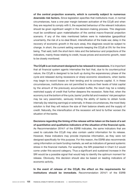of the central projection scenario, which is currently subject to numerous downside risk factors. Since legislation specifies that institutions must, in normal circumstances, have a one-year margin between activation of the CCyB and when they are required to comply with it, the expected behaviour of the relevant indicators should be given significant weight in the decision-making process. This diagnosis must be conditional upon materialisation of the central macro-financial projection scenario. If any of the risks mentioned before were to materialise (geopolitical uncertainty, the risk of a no-deal Brexit, intensification of the trade war, delay in the recovery of economic growth in the euro area), this diagnosis would be subject to change. In short, the current setting warrants keeping the CCyB at 0% for the time being. That said, both the short-term risks and the behaviour and projections of the indicators, mainly those relating to credit, house prices and economic growth, need to be closely monitored.

The CCyB is an instrument designed to be released in recessions. It is important that all financial system agents internalise the fact that, due to its countercyclical nature, the CCyB is designed to be built up during the expansionary phase of the cycle and released during recessions or sharp economic slowdowns, when banks may begin to record losses on their lending and to consume capital. If, in these circumstances, institutions are not permitted to reduce their levels of total capital by the amount of the previously accumulated buffer, the result may be a notably restricted supply of credit that further deepens the recession. Note that, when the economy is at the bottom of the cycle, banks' profits fall and investors' risk perception may be very pessimistic, seriously limiting the ability of banks to obtain funds internally (by retaining earnings) or externally. In these circumstances, the most likely solution is that they will reduce the size of their balance sheets and the supply of credit. Naturally, the intensification of the recession will tend to further worsen the situation of the banks.

Decisions regarding the timing of the release will be taken on the basis of a set of quantitative and qualitative indicators of the situation of the financial cycle. As Recommendation 2014/1 of the ESRB indicates, the same indicators that are used to calculate the CCyB may also contain useful information for its release. However, these indicators may provide imprecise information, as they were not designed specifically for this purpose. For this reason, the ESRB also recommends using information on bank funding markets, as well as indicators of general systemic stress in the financial markets. For example, the SRI presented in Chart 3.2 would come under this second category. Thus a significant and sustained increase in the SRI would be a possible signal that would help to identify the optimum moment for release. Obviously, this decision should also be based on leading indicators of economic activity.

In the event of release of the CCyB, the effect on the requirements for institutions should be immediate. Recommendation 2014/1 of the ESRB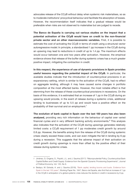advocates release of the CCyB without delay when systemic risk materialises, so as to moderate institutions' procyclical behaviour and facilitate the absorption of losses. However, the recommendation itself indicates that a gradual release would be preferable when risks are not observed to materialise but are judged to recede.

The Banco de España is carrying out various studies on the impact that a potential activation of the CCyB would have on credit to the non-financial private sector and on other macroeconomic variables. First, it is possible to estimate the cost of activating the CCyB in terms of credit using a structural vector autoregressive model. In principle, a standardised 1 pp increase in the CCyB during an upswing may lead to reductions in credit of up to 1.4 pp. The maximum effects would occur between one and two years after activation. However, the empirical evidence shows that release of the buffer during systemic crises has a much greater positive impact, mitigating the contraction in credit.

In this respect, the experience of use of dynamic provisions in Spain provides useful lessons regarding the potential impact of the CCyB. In particular, the available studies indicate that the introduction of countercyclical provisions in an expansionary setting, which is similar to the activation of the CCyB, had no effect on aggregate lending, although it may have caused some changes in portfolio composition at the most affected banks. However, the most notable effect is that stemming from the release of these countercyclical provisions in recessions. On the basis of this evidence, it is estimated that an increase of 1 pp in the CCyB during an upswing would provide, in the event of release during a systemic crisis, additional lending to businesses of up to 5.5 pp and would have a positive effect on the probability of their survival and on employment.<sup>7</sup>

The evolution of bank capital in Spain over the last 150 years has also been analysed, providing very rich information on the behaviour of capital over varied financial cycles and in very different banking activity environments.<sup>8</sup> This analysis also indicates that the activation of the CCyB during upswings generates relatively limited costs: a CCyB requirement of 1 pp moderates credit growth by around 0.8 pp. However, the benefits arising from the release of the CCyB during systemic crises clearly exceed these costs, and can even mitigate the fall in lending by 6 pp during a recession. This suggests that the adverse impact of their activation on credit growth during upswings is more than offset by the positive effect of their release during systemic crises.

<sup>7</sup> Jiménez, G. Ongena, S., Peydró, J.L. and J. Saurina (2017): "Macroprudential Policy, Countercyclical Bank Capital Buffers and Credit Supply: Evidence from the Spanish Dynamic Provisioning Experiments", *Journal of Political Economy,* Vol. 125, No 6.

<sup>8</sup> Bedayo, M. Estrada, A. and J. Saurina (2018), ["Bank capital, lending booms and busts. Evidence from](https://www.bde.es/f/webbde/SES/Secciones/Publicaciones/PublicacionesSeriadas/DocumentosTrabajo/18/Files/dt1847e.pdf) [Spain in the last 150 years"](https://www.bde.es/f/webbde/SES/Secciones/Publicaciones/PublicacionesSeriadas/DocumentosTrabajo/18/Files/dt1847e.pdf), Working Paper No. 1847, Banco de España, also find that an increase of 1 pp in the CCyB in anticipation of a global systemic crisis reduces the decline in credit in recessions by 6 pp.